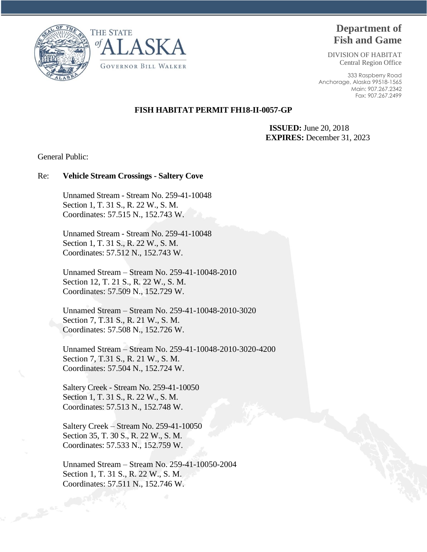



# **Department of Fish and Game**

DIVISION OF HABITAT Central Region Office

333 Raspberry Road Anchorage, Alaska 99518-1565 Main: 907.267.2342 Fax: 907.267.2499

## **FISH HABITAT PERMIT FH18-II-0057-GP**

 **ISSUED:** June 20, 2018 **EXPIRES:** December 31, 2023

General Public:

#### Re: **Vehicle Stream Crossings - Saltery Cove**

Unnamed Stream - Stream No. 259-41-10048 Section 1, T. 31 S., R. 22 W., S. M. Coordinates: 57.515 N., 152.743 W.

Unnamed Stream - Stream No. 259-41-10048 Section 1, T. 31 S., R. 22 W., S. M. Coordinates: 57.512 N., 152.743 W.

Unnamed Stream – Stream No. 259-41-10048-2010 Section 12, T. 21 S., R. 22 W., S. M. Coordinates: 57.509 N., 152.729 W.

Unnamed Stream – Stream No. 259-41-10048-2010-3020 Section 7, T.31 S., R. 21 W., S. M. Coordinates: 57.508 N., 152.726 W.

Unnamed Stream – Stream No. 259-41-10048-2010-3020-4200 Section 7, T.31 S., R. 21 W., S. M. Coordinates: 57.504 N., 152.724 W.

Saltery Creek - Stream No. 259-41-10050 Section 1, T. 31 S., R. 22 W., S. M. Coordinates: 57.513 N., 152.748 W.

Saltery Creek – Stream No. 259-41-10050 Section 35, T. 30 S., R. 22 W., S. M. Coordinates: 57.533 N., 152.759 W.

Unnamed Stream – Stream No. 259-41-10050-2004 Section 1, T. 31 S., R. 22 W., S. M. Coordinates: 57.511 N., 152.746 W.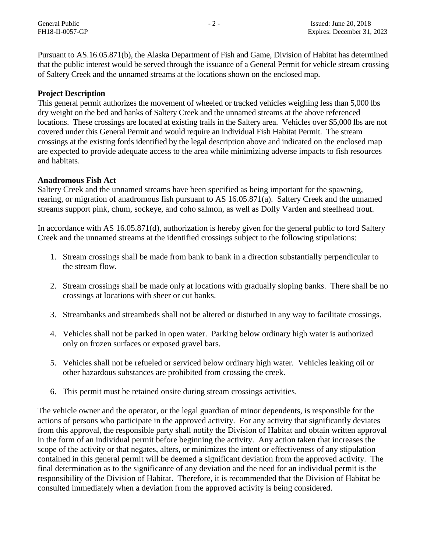Pursuant to AS.16.05.871(b), the Alaska Department of Fish and Game, Division of Habitat has determined that the public interest would be served through the issuance of a General Permit for vehicle stream crossing of Saltery Creek and the unnamed streams at the locations shown on the enclosed map.

# **Project Description**

This general permit authorizes the movement of wheeled or tracked vehicles weighing less than 5,000 lbs dry weight on the bed and banks of Saltery Creek and the unnamed streams at the above referenced locations. These crossings are located at existing trails in the Saltery area. Vehicles over \$5,000 lbs are not covered under this General Permit and would require an individual Fish Habitat Permit. The stream crossings at the existing fords identified by the legal description above and indicated on the enclosed map are expected to provide adequate access to the area while minimizing adverse impacts to fish resources and habitats.

# **Anadromous Fish Act**

Saltery Creek and the unnamed streams have been specified as being important for the spawning, rearing, or migration of anadromous fish pursuant to AS 16.05.871(a). Saltery Creek and the unnamed streams support pink, chum, sockeye, and coho salmon, as well as Dolly Varden and steelhead trout.

In accordance with AS 16.05.871(d), authorization is hereby given for the general public to ford Saltery Creek and the unnamed streams at the identified crossings subject to the following stipulations:

- 1. Stream crossings shall be made from bank to bank in a direction substantially perpendicular to the stream flow.
- 2. Stream crossings shall be made only at locations with gradually sloping banks. There shall be no crossings at locations with sheer or cut banks.
- 3. Streambanks and streambeds shall not be altered or disturbed in any way to facilitate crossings.
- 4. Vehicles shall not be parked in open water. Parking below ordinary high water is authorized only on frozen surfaces or exposed gravel bars.
- 5. Vehicles shall not be refueled or serviced below ordinary high water. Vehicles leaking oil or other hazardous substances are prohibited from crossing the creek.
- 6. This permit must be retained onsite during stream crossings activities.

The vehicle owner and the operator, or the legal guardian of minor dependents, is responsible for the actions of persons who participate in the approved activity. For any activity that significantly deviates from this approval, the responsible party shall notify the Division of Habitat and obtain written approval in the form of an individual permit before beginning the activity. Any action taken that increases the scope of the activity or that negates, alters, or minimizes the intent or effectiveness of any stipulation contained in this general permit will be deemed a significant deviation from the approved activity. The final determination as to the significance of any deviation and the need for an individual permit is the responsibility of the Division of Habitat. Therefore, it is recommended that the Division of Habitat be consulted immediately when a deviation from the approved activity is being considered.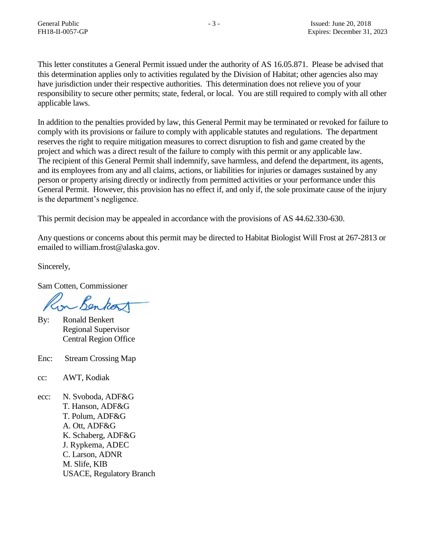This letter constitutes a General Permit issued under the authority of AS 16.05.871. Please be advised that this determination applies only to activities regulated by the Division of Habitat; other agencies also may have jurisdiction under their respective authorities. This determination does not relieve you of your responsibility to secure other permits; state, federal, or local. You are still required to comply with all other applicable laws.

In addition to the penalties provided by law, this General Permit may be terminated or revoked for failure to comply with its provisions or failure to comply with applicable statutes and regulations. The department reserves the right to require mitigation measures to correct disruption to fish and game created by the project and which was a direct result of the failure to comply with this permit or any applicable law. The recipient of this General Permit shall indemnify, save harmless, and defend the department, its agents, and its employees from any and all claims, actions, or liabilities for injuries or damages sustained by any person or property arising directly or indirectly from permitted activities or your performance under this General Permit. However, this provision has no effect if, and only if, the sole proximate cause of the injury is the department's negligence.

This permit decision may be appealed in accordance with the provisions of AS 44.62.330-630.

Any questions or concerns about this permit may be directed to Habitat Biologist Will Frost at 267-2813 or emailed to william.frost@alaska.gov.

Sincerely,

Sam Cotten, Commissioner

on Benkort

- By: Ronald Benkert Regional Supervisor Central Region Office
- Enc: Stream Crossing Map
- cc: AWT, Kodiak
- ecc: N. Svoboda, ADF&G T. Hanson, ADF&G T. Polum, ADF&G A. Ott, ADF&G K. Schaberg, ADF&G J. Rypkema, ADEC C. Larson, ADNR M. Slife, KIB USACE, Regulatory Branch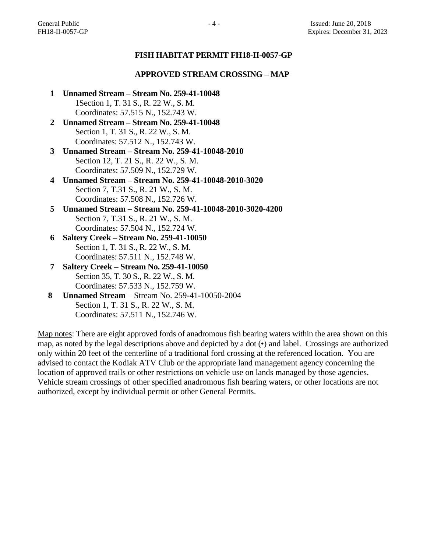## **FISH HABITAT PERMIT FH18-II-0057-GP**

#### **APPROVED STREAM CROSSING – MAP**

- **1 Unnamed Stream – Stream No. 259-41-10048** 1Section 1, T. 31 S., R. 22 W., S. M. Coordinates: 57.515 N., 152.743 W.
- **2 Unnamed Stream – Stream No. 259-41-10048** Section 1, T. 31 S., R. 22 W., S. M. Coordinates: 57.512 N., 152.743 W.
- **3 Unnamed Stream – Stream No. 259-41-10048-2010** Section 12, T. 21 S., R. 22 W., S. M. Coordinates: 57.509 N., 152.729 W.
- **4 Unnamed Stream – Stream No. 259-41-10048-2010-3020** Section 7, T.31 S., R. 21 W., S. M. Coordinates: 57.508 N., 152.726 W.
- **5 Unnamed Stream – Stream No. 259-41-10048-2010-3020-4200** Section 7, T.31 S., R. 21 W., S. M. Coordinates: 57.504 N., 152.724 W.
- **6 Saltery Creek – Stream No. 259-41-10050** Section 1, T. 31 S., R. 22 W., S. M. Coordinates: 57.511 N., 152.748 W.
- **7 Saltery Creek – Stream No. 259-41-10050** Section 35, T. 30 S., R. 22 W., S. M. Coordinates: 57.533 N., 152.759 W.
- **8 Unnamed Stream** Stream No. 259-41-10050-2004 Section 1, T. 31 S., R. 22 W., S. M. Coordinates: 57.511 N., 152.746 W.

Map notes: There are eight approved fords of anadromous fish bearing waters within the area shown on this map, as noted by the legal descriptions above and depicted by a dot (•) and label. Crossings are authorized only within 20 feet of the centerline of a traditional ford crossing at the referenced location. You are advised to contact the Kodiak ATV Club or the appropriate land management agency concerning the location of approved trails or other restrictions on vehicle use on lands managed by those agencies. Vehicle stream crossings of other specified anadromous fish bearing waters, or other locations are not authorized, except by individual permit or other General Permits.